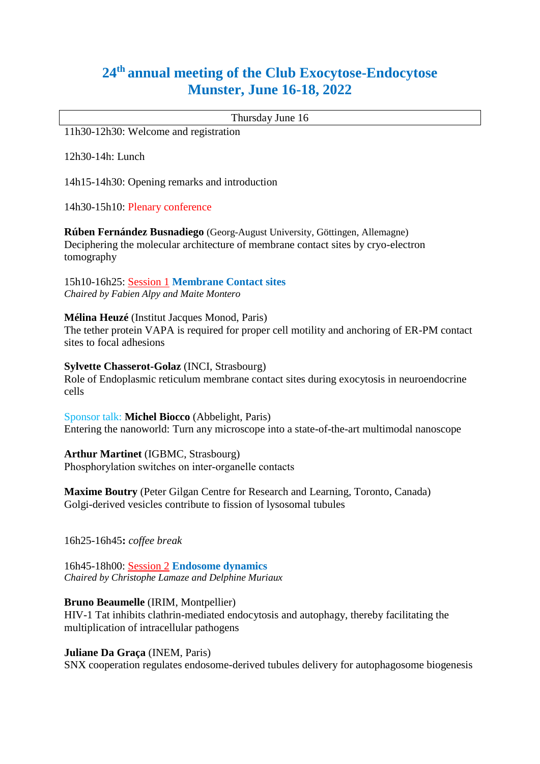# **24th annual meeting of the Club Exocytose-Endocytose Munster, June 16-18, 2022**

Thursday June 16

11h30-12h30: Welcome and registration

12h30-14h: Lunch

14h15-14h30: Opening remarks and introduction

14h30-15h10: Plenary conference

**Rúben Fernández Busnadiego** (Georg-August University, Göttingen, Allemagne) Deciphering the molecular architecture of membrane contact sites by cryo-electron tomography

15h10-16h25: Session 1 **Membrane Contact sites** *Chaired by Fabien Alpy and Maite Montero*

**Mélina Heuzé** (Institut Jacques Monod, Paris)

The tether protein VAPA is required for proper cell motility and anchoring of ER-PM contact sites to focal adhesions

**Sylvette Chasserot-Golaz** (INCI, Strasbourg)

Role of Endoplasmic reticulum membrane contact sites during exocytosis in neuroendocrine cells

Sponsor talk: **Michel Biocco** (Abbelight, Paris) Entering the nanoworld: Turn any microscope into a state-of-the-art multimodal nanoscope

**Arthur Martinet** (IGBMC, Strasbourg) Phosphorylation switches on inter‐organelle contacts

**Maxime Boutry** (Peter Gilgan Centre for Research and Learning, Toronto, Canada) Golgi-derived vesicles contribute to fission of lysosomal tubules

16h25-16h45**:** *coffee break*

16h45-18h00: Session 2 **Endosome dynamics** *Chaired by Christophe Lamaze and Delphine Muriaux*

**Bruno Beaumelle** (IRIM, Montpellier)

HIV-1 Tat inhibits clathrin-mediated endocytosis and autophagy, thereby facilitating the multiplication of intracellular pathogens

**Juliane Da Graça** (INEM, Paris)

SNX cooperation regulates endosome-derived tubules delivery for autophagosome biogenesis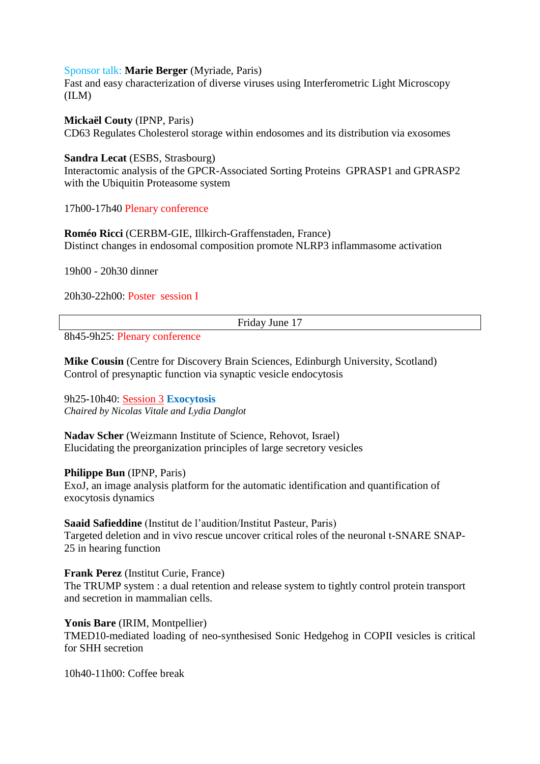#### Sponsor talk: **Marie Berger** (Myriade, Paris)

Fast and easy characterization of diverse viruses using Interferometric Light Microscopy (ILM)

**Mickaël Couty** (IPNP, Paris) CD63 Regulates Cholesterol storage within endosomes and its distribution via exosomes

**Sandra Lecat** (ESBS, Strasbourg) Interactomic analysis of the GPCR-Associated Sorting Proteins GPRASP1 and GPRASP2 with the Ubiquitin Proteasome system

17h00-17h40 Plenary conference

**Roméo Ricci** (CERBM-GIE, Illkirch-Graffenstaden, France) Distinct changes in endosomal composition promote NLRP3 inflammasome activation

19h00 - 20h30 dinner

20h30-22h00: Poster session I

Friday June 17

8h45-9h25: Plenary conference

**Mike Cousin** (Centre for Discovery Brain Sciences, Edinburgh University, Scotland) Control of presynaptic function via synaptic vesicle endocytosis

9h25-10h40: Session 3 **Exocytosis**  *Chaired by Nicolas Vitale and Lydia Danglot*

**Nadav Scher** (Weizmann Institute of Science, Rehovot, Israel) Elucidating the preorganization principles of large secretory vesicles

#### **Philippe Bun** (IPNP, Paris)

ExoJ, an image analysis platform for the automatic identification and quantification of exocytosis dynamics

**Saaid Safieddine** (Institut de l'audition/Institut Pasteur, Paris) Targeted deletion and in vivo rescue uncover critical roles of the neuronal t-SNARE SNAP-25 in hearing function

**Frank Perez** (Institut Curie, France) The TRUMP system : a dual retention and release system to tightly control protein transport and secretion in mammalian cells.

**Yonis Bare** (IRIM, Montpellier) TMED10-mediated loading of neo-synthesised Sonic Hedgehog in COPII vesicles is critical for SHH secretion

10h40-11h00: Coffee break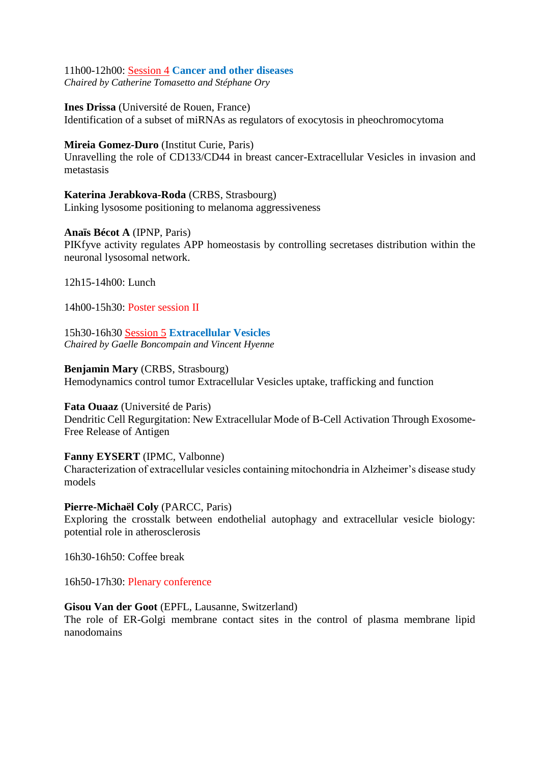11h00-12h00: Session 4 **Cancer and other diseases** *Chaired by Catherine Tomasetto and Stéphane Ory* 

**Ines Drissa** (Université de Rouen, France) Identification of a subset of miRNAs as regulators of exocytosis in pheochromocytoma

# **Mireia Gomez-Duro** (Institut Curie, Paris)

Unravelling the role of CD133/CD44 in breast cancer-Extracellular Vesicles in invasion and metastasis

**Katerina Jerabkova-Roda** (CRBS, Strasbourg) Linking lysosome positioning to melanoma aggressiveness

**Anaïs Bécot A** (IPNP, Paris) PIKfyve activity regulates APP homeostasis by controlling secretases distribution within the neuronal lysosomal network.

12h15-14h00: Lunch

14h00-15h30: Poster session II

15h30-16h30 Session 5 **Extracellular Vesicles** *Chaired by Gaelle Boncompain and Vincent Hyenne*

**Benjamin Mary** (CRBS, Strasbourg) Hemodynamics control tumor Extracellular Vesicles uptake, trafficking and function

**Fata Ouaaz** (Université de Paris) Dendritic Cell Regurgitation: New Extracellular Mode of B-Cell Activation Through Exosome-Free Release of Antigen

#### **Fanny EYSERT** (IPMC, Valbonne)

Characterization of extracellular vesicles containing mitochondria in Alzheimer's disease study models

**Pierre-Michaël Coly** (PARCC, Paris)

Exploring the crosstalk between endothelial autophagy and extracellular vesicle biology: potential role in atherosclerosis

16h30-16h50: Coffee break

16h50-17h30: Plenary conference

#### **Gisou Van der Goot** (EPFL, Lausanne, Switzerland)

The role of ER-Golgi membrane contact sites in the control of plasma membrane lipid nanodomains